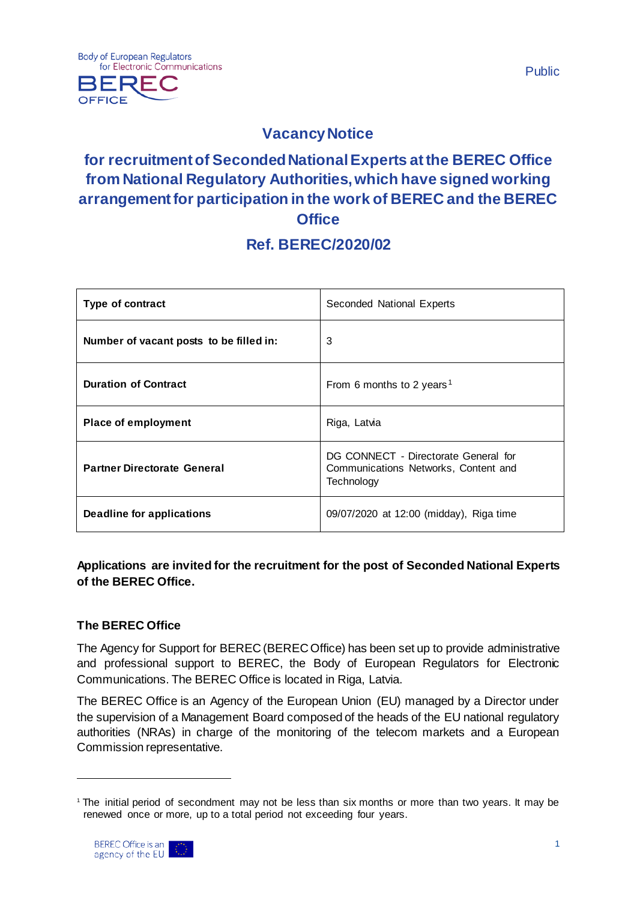

# **Vacancy Notice**

# **for recruitment of Seconded National Experts at the BEREC Office from National Regulatory Authorities, which have signed working arrangement for participation in the work of BEREC and the BEREC Office**

# **Ref. BEREC/2020/02**

| Type of contract                        | Seconded National Experts                                                                  |
|-----------------------------------------|--------------------------------------------------------------------------------------------|
| Number of vacant posts to be filled in: | 3                                                                                          |
| <b>Duration of Contract</b>             | From 6 months to 2 years <sup>1</sup>                                                      |
| <b>Place of employment</b>              | Riga, Latvia                                                                               |
| <b>Partner Directorate General</b>      | DG CONNECT - Directorate General for<br>Communications Networks, Content and<br>Technology |
| Deadline for applications               | 09/07/2020 at 12:00 (midday), Riga time                                                    |

**Applications are invited for the recruitment for the post of Seconded National Experts of the BEREC Office.**

# **The BEREC Office**

The Agency for Support for BEREC (BEREC Office) has been set up to provide administrative and professional support to BEREC, the Body of European Regulators for Electronic Communications. The BEREC Office is located in Riga, Latvia.

The BEREC Office is an Agency of the European Union (EU) managed by a Director under the supervision of a Management Board composed of the heads of the EU national regulatory authorities (NRAs) in charge of the monitoring of the telecom markets and a European Commission representative.

**BEREC** Office is an agency of the EU

-

Public

<span id="page-0-0"></span><sup>1</sup> The initial period of secondment may not be less than six months or more than two years. It may be renewed once or more, up to a total period not exceeding four years.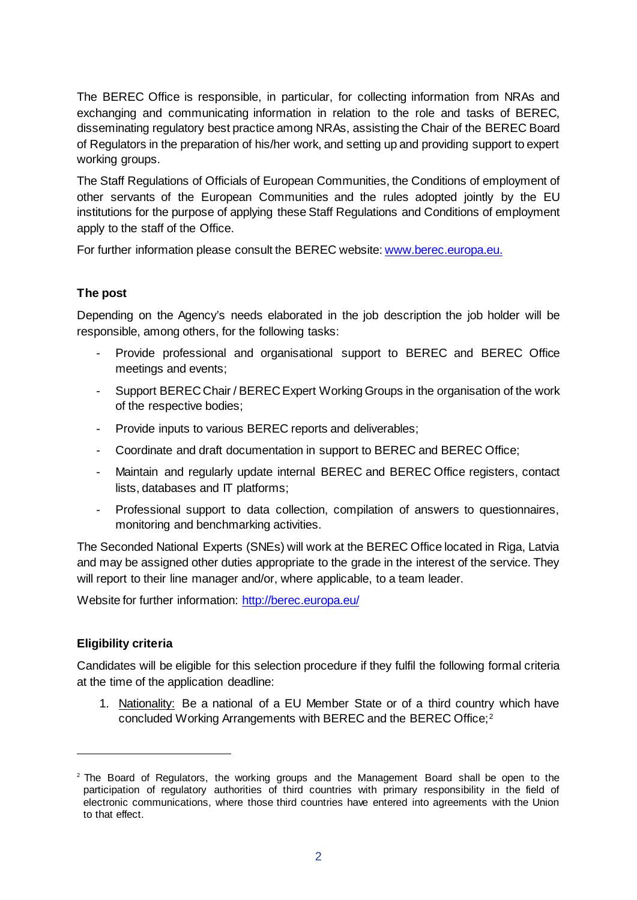The BEREC Office is responsible, in particular, for collecting information from NRAs and exchanging and communicating information in relation to the role and tasks of BEREC, disseminating regulatory best practice among NRAs, assisting the Chair of the BEREC Board of Regulators in the preparation of his/her work, and setting up and providing support to expert working groups.

The Staff Regulations of Officials of European Communities, the Conditions of employment of other servants of the European Communities and the rules adopted jointly by the EU institutions for the purpose of applying these Staff Regulations and Conditions of employment apply to the staff of the Office.

For further information please consult the BEREC website: [www.berec.europa.eu.](http://www.berec.europa.eu/)

# **The post**

Depending on the Agency's needs elaborated in the job description the job holder will be responsible, among others, for the following tasks:

- Provide professional and organisational support to BEREC and BEREC Office meetings and events;
- Support BEREC Chair / BEREC Expert Working Groups in the organisation of the work of the respective bodies;
- Provide inputs to various BEREC reports and deliverables;
- Coordinate and draft documentation in support to BEREC and BEREC Office;
- Maintain and regularly update internal BEREC and BEREC Office registers, contact lists, databases and IT platforms;
- Professional support to data collection, compilation of answers to questionnaires, monitoring and benchmarking activities.

The Seconded National Experts (SNEs) will work at the BEREC Office located in Riga, Latvia and may be assigned other duties appropriate to the grade in the interest of the service. They will report to their line manager and/or, where applicable, to a team leader.

Website for further information:<http://berec.europa.eu/>

# **Eligibility criteria**

-

Candidates will be eligible for this selection procedure if they fulfil the following formal criteria at the time of the application deadline:

1. Nationality: Be a national of a EU Member State or of a third country which have concluded Working Arrangements with BEREC and the BEREC Office;<sup>[2](#page-1-0)</sup>

<span id="page-1-0"></span><sup>&</sup>lt;sup>2</sup> The Board of Regulators, the working groups and the Management Board shall be open to the participation of regulatory authorities of third countries with primary responsibility in the field of electronic communications, where those third countries have entered into agreements with the Union to that effect.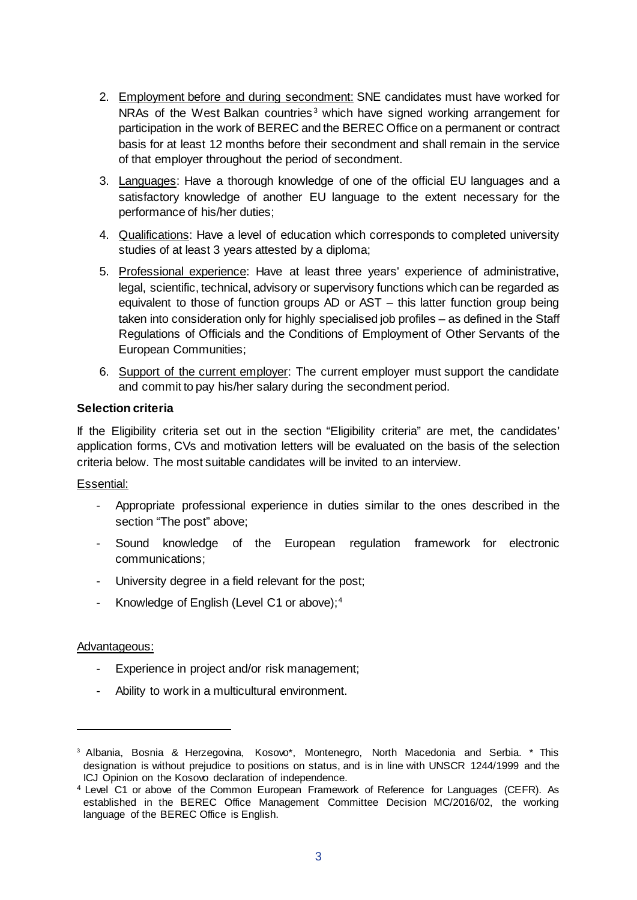- 2. Employment before and during secondment: SNE candidates must have worked for NRAs of the West Balkan countries<sup>[3](#page-2-0)</sup> which have signed working arrangement for participation in the work of BEREC and the BEREC Office on a permanent or contract basis for at least 12 months before their secondment and shall remain in the service of that employer throughout the period of secondment.
- 3. Languages: Have a thorough knowledge of one of the official EU languages and a satisfactory knowledge of another EU language to the extent necessary for the performance of his/her duties;
- 4. Qualifications: Have a level of education which corresponds to completed university studies of at least 3 years attested by a diploma;
- 5. Professional experience: Have at least three years' experience of administrative, legal, scientific, technical, advisory or supervisory functions which can be regarded as equivalent to those of function groups AD or AST – this latter function group being taken into consideration only for highly specialised job profiles – as defined in the Staff Regulations of Officials and the Conditions of Employment of Other Servants of the European Communities;
- 6. Support of the current employer: The current employer must support the candidate and commit to pay his/her salary during the secondment period.

## **Selection criteria**

If the Eligibility criteria set out in the section "Eligibility criteria" are met, the candidates' application forms, CVs and motivation letters will be evaluated on the basis of the selection criteria below. The most suitable candidates will be invited to an interview.

# Essential:

- Appropriate professional experience in duties similar to the ones described in the section "The post" above;
- Sound knowledge of the European regulation framework for electronic communications;
- University degree in a field relevant for the post;
- Knowledge of English (Level C1 or above);<sup>[4](#page-2-1)</sup>

# Advantageous:

-

- Experience in project and/or risk management;
- Ability to work in a multicultural environment.

<span id="page-2-0"></span><sup>&</sup>lt;sup>3</sup> Albania, Bosnia & Herzegovina, Kosovo\*, Montenegro, North Macedonia and Serbia. \* This designation is without prejudice to positions on status, and is in line with UNSCR 1244/1999 and the ICJ Opinion on the Kosovo declaration of independence.

<span id="page-2-1"></span><sup>4</sup> Level C1 or above of the Common European Framework of Reference for Languages (CEFR). As established in the BEREC Office Management Committee Decision MC/2016/02, the working language of the BEREC Office is English.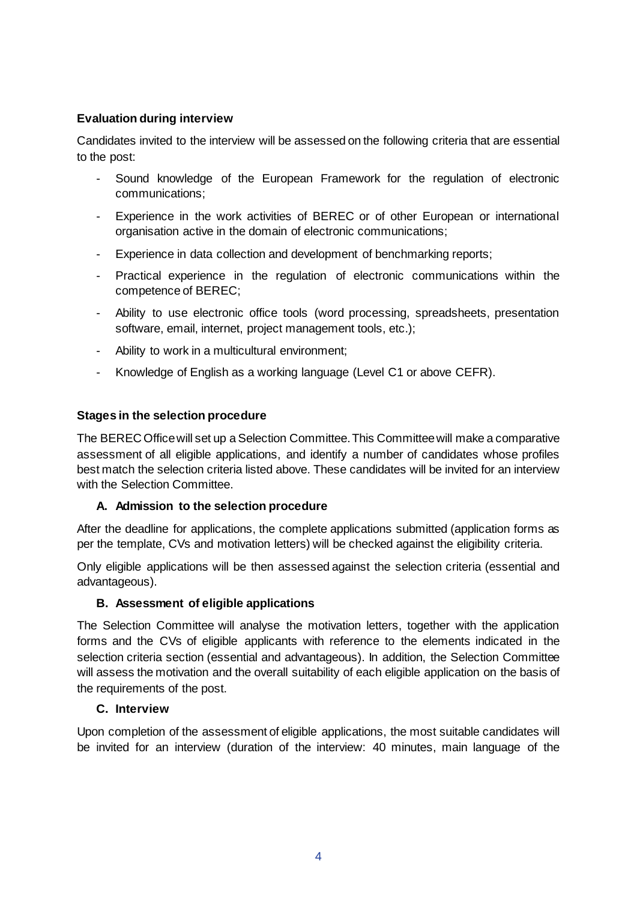# **Evaluation during interview**

Candidates invited to the interview will be assessed on the following criteria that are essential to the post:

- Sound knowledge of the European Framework for the regulation of electronic communications;
- Experience in the work activities of BEREC or of other European or international organisation active in the domain of electronic communications;
- Experience in data collection and development of benchmarking reports;
- Practical experience in the regulation of electronic communications within the competence of BEREC;
- Ability to use electronic office tools (word processing, spreadsheets, presentation software, email, internet, project management tools, etc.);
- Ability to work in a multicultural environment;
- Knowledge of English as a working language (Level C1 or above CEFR).

# **Stages in the selection procedure**

The BEREC Office will set up a Selection Committee. This Committee will make a comparative assessment of all eligible applications, and identify a number of candidates whose profiles best match the selection criteria listed above. These candidates will be invited for an interview with the Selection Committee.

# **A. Admission to the selection procedure**

After the deadline for applications, the complete applications submitted (application forms as per the template, CVs and motivation letters) will be checked against the eligibility criteria.

Only eligible applications will be then assessed against the selection criteria (essential and advantageous).

# **B. Assessment of eligible applications**

The Selection Committee will analyse the motivation letters, together with the application forms and the CVs of eligible applicants with reference to the elements indicated in the selection criteria section (essential and advantageous). In addition, the Selection Committee will assess the motivation and the overall suitability of each eligible application on the basis of the requirements of the post.

# **C. Interview**

Upon completion of the assessment of eligible applications, the most suitable candidates will be invited for an interview (duration of the interview: 40 minutes, main language of the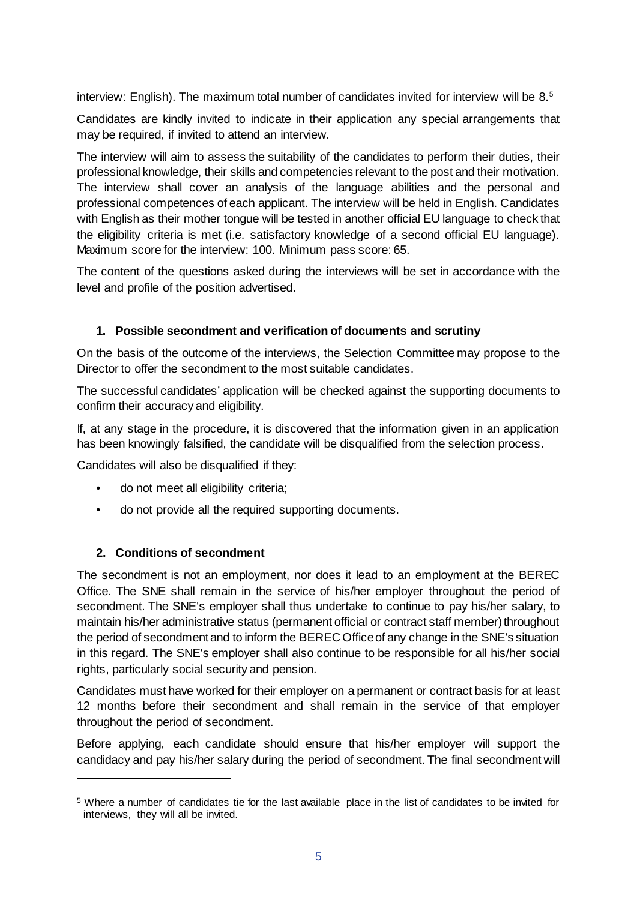interview: English). The maximum total number of candidates invited for interview will be 8.<sup>[5](#page-4-0)</sup>

Candidates are kindly invited to indicate in their application any special arrangements that may be required, if invited to attend an interview.

The interview will aim to assess the suitability of the candidates to perform their duties, their professional knowledge, their skills and competencies relevant to the post and their motivation. The interview shall cover an analysis of the language abilities and the personal and professional competences of each applicant. The interview will be held in English. Candidates with English as their mother tongue will be tested in another official EU language to check that the eligibility criteria is met (i.e. satisfactory knowledge of a second official EU language). Maximum score for the interview: 100. Minimum pass score: 65.

The content of the questions asked during the interviews will be set in accordance with the level and profile of the position advertised.

# **1. Possible secondment and verification of documents and scrutiny**

On the basis of the outcome of the interviews, the Selection Committee may propose to the Director to offer the secondment to the most suitable candidates.

The successful candidates' application will be checked against the supporting documents to confirm their accuracy and eligibility.

If, at any stage in the procedure, it is discovered that the information given in an application has been knowingly falsified, the candidate will be disqualified from the selection process.

Candidates will also be disqualified if they:

- do not meet all eligibility criteria;
- do not provide all the required supporting documents.

# **2. Conditions of secondment**

-

The secondment is not an employment, nor does it lead to an employment at the BEREC Office. The SNE shall remain in the service of his/her employer throughout the period of secondment. The SNE's employer shall thus undertake to continue to pay his/her salary, to maintain his/her administrative status (permanent official or contract staff member) throughout the period of secondmentand to inform the BEREC Office of any change in the SNE's situation in this regard. The SNE's employer shall also continue to be responsible for all his/her social rights, particularly social security and pension.

Candidates must have worked for their employer on a permanent or contract basis for at least 12 months before their secondment and shall remain in the service of that employer throughout the period of secondment.

Before applying, each candidate should ensure that his/her employer will support the candidacy and pay his/her salary during the period of secondment. The final secondment will

<span id="page-4-0"></span><sup>5</sup> Where a number of candidates tie for the last available place in the list of candidates to be invited for interviews, they will all be invited.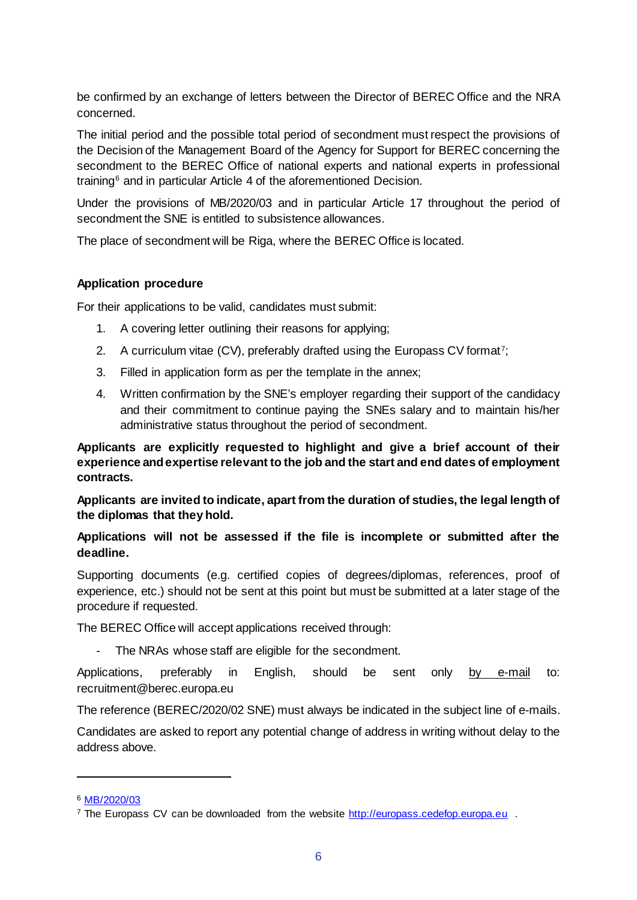be confirmed by an exchange of letters between the Director of BEREC Office and the NRA concerned.

The initial period and the possible total period of secondment must respect the provisions of the Decision of the Management Board of the Agency for Support for BEREC concerning the secondment to the BEREC Office of national experts and national experts in professional training<sup>[6](#page-5-0)</sup> and in particular Article 4 of the aforementioned Decision.

Under the provisions of MB/2020/03 and in particular Article 17 throughout the period of secondment the SNE is entitled to subsistence allowances.

The place of secondment will be Riga, where the BEREC Office is located.

## **Application procedure**

For their applications to be valid, candidates must submit:

- 1. A covering letter outlining their reasons for applying;
- 2. A curriculum vitae  $(CV)$ , preferably drafted using the Europass CV format<sup>7</sup>;
- 3. Filled in application form as per the template in the annex;
- 4. Written confirmation by the SNE's employer regarding their support of the candidacy and their commitment to continue paying the SNEs salary and to maintain his/her administrative status throughout the period of secondment.

**Applicants are explicitly requested to highlight and give a brief account of their experience and expertise relevant to the job and the start and end dates of employment contracts.** 

**Applicants are invited to indicate, apart from the duration of studies, the legal length of the diplomas that they hold.** 

# **Applications will not be assessed if the file is incomplete or submitted after the deadline.**

Supporting documents (e.g. certified copies of degrees/diplomas, references, proof of experience, etc.) should not be sent at this point but must be submitted at a later stage of the procedure if requested.

The BEREC Office will accept applications received through:

- The NRAs whose staff are eligible for the secondment.

Applications, preferably in English, should be sent only by e-mail to: recruitment@berec.europa.eu

The reference (BEREC/2020/02 SNE) must always be indicated in the subject line of e-mails.

Candidates are asked to report any potential change of address in writing without delay to the address above.

-

<span id="page-5-0"></span><sup>6</sup> [MB/2020/03](https://berec.europa.eu/eng/document_register/subject_matter/berec_office/decisions_of_the_management_board/9025-decision-of-the-management-board-of-the-agency-for-support-for-berec-concerning-the-secondment-to-the-berec-office-of-national-experts-and-national-experts-in-professional-training)

<span id="page-5-1"></span><sup>&</sup>lt;sup>7</sup> The Europass CV can be downloaded from the website [http://europass.cedefop.europa.eu](http://europass.cedefop.europa.eu/)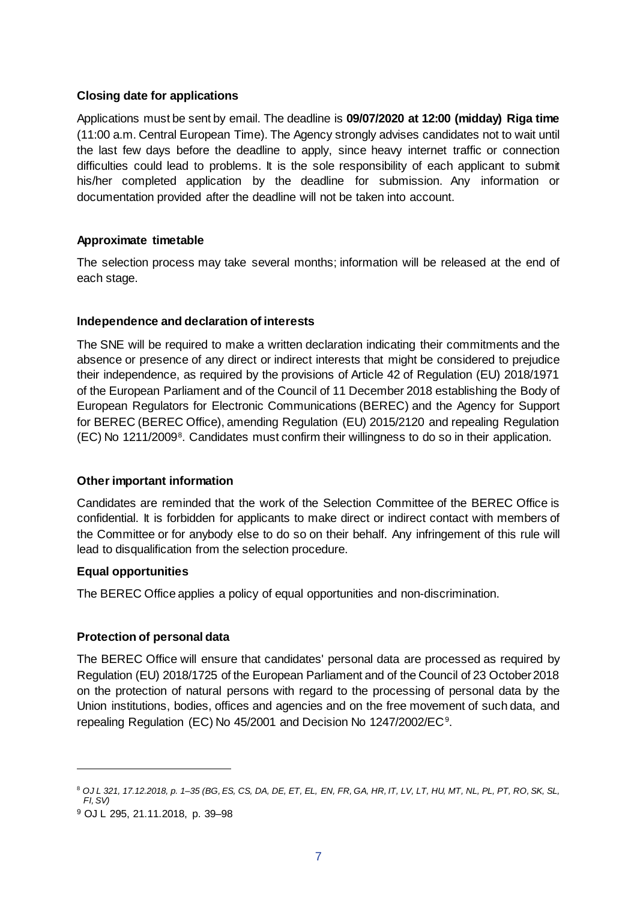## **Closing date for applications**

Applications must be sent by email. The deadline is **09/07/2020 at 12:00 (midday) Riga time** (11:00 a.m. Central European Time). The Agency strongly advises candidates not to wait until the last few days before the deadline to apply, since heavy internet traffic or connection difficulties could lead to problems. It is the sole responsibility of each applicant to submit his/her completed application by the deadline for submission. Any information or documentation provided after the deadline will not be taken into account.

## **Approximate timetable**

The selection process may take several months; information will be released at the end of each stage.

## **Independence and declaration of interests**

The SNE will be required to make a written declaration indicating their commitments and the absence or presence of any direct or indirect interests that might be considered to prejudice their independence, as required by the provisions of Article 42 of Regulation (EU) 2018/1971 of the European Parliament and of the Council of 11 December 2018 establishing the Body of European Regulators for Electronic Communications (BEREC) and the Agency for Support for BEREC (BEREC Office), amending Regulation (EU) 2015/2120 and repealing Regulation (EC) No 1211/2009[8](#page-6-0). Candidates must confirm their willingness to do so in their application.

### **Other important information**

Candidates are reminded that the work of the Selection Committee of the BEREC Office is confidential. It is forbidden for applicants to make direct or indirect contact with members of the Committee or for anybody else to do so on their behalf. Any infringement of this rule will lead to disqualification from the selection procedure.

### **Equal opportunities**

The BEREC Office applies a policy of equal opportunities and non-discrimination.

### **Protection of personal data**

The BEREC Office will ensure that candidates' personal data are processed as required by Regulation (EU) 2018/1725 of the European Parliament and of the Council of 23 October 2018 on the protection of natural persons with regard to the processing of personal data by the Union institutions, bodies, offices and agencies and on the free movement of such data, and repealing Regulation (EC) No 45/2001 and Decision No 1247/2002/EC<sup>[9](#page-6-1)</sup>.

-

<span id="page-6-0"></span><sup>8</sup> *OJ L 321, 17.12.2018, p. 1–35 (BG, ES, CS, DA, DE, ET, EL, EN, FR, GA, HR, IT, LV, LT, HU, MT, NL, PL, PT, RO, SK, SL, FI, SV)*

<span id="page-6-1"></span><sup>9</sup> OJ L 295, 21.11.2018, p. 39–98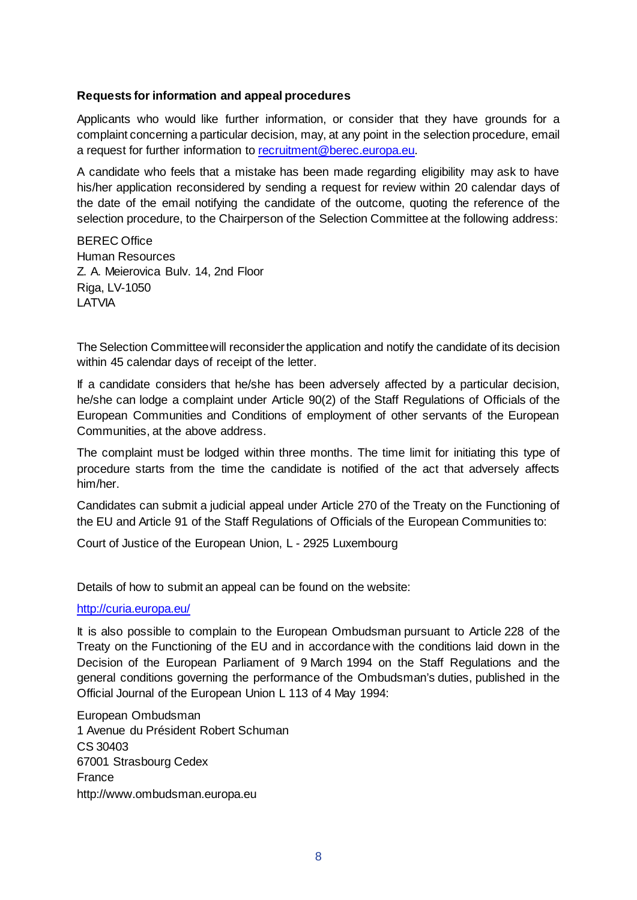## **Requests for information and appeal procedures**

Applicants who would like further information, or consider that they have grounds for a complaint concerning a particular decision, may, at any point in the selection procedure, email a request for further information to recruitment@berec.europa.eu.

A candidate who feels that a mistake has been made regarding eligibility may ask to have his/her application reconsidered by sending a request for review within 20 calendar days of the date of the email notifying the candidate of the outcome, quoting the reference of the selection procedure, to the Chairperson of the Selection Committee at the following address:

BEREC Office Human Resources Z. A. Meierovica Bulv. 14, 2nd Floor Riga, LV-1050 LATVIA

The Selection Committee will reconsider the application and notify the candidate of its decision within 45 calendar days of receipt of the letter.

If a candidate considers that he/she has been adversely affected by a particular decision, he/she can lodge a complaint under Article 90(2) of the Staff Regulations of Officials of the European Communities and Conditions of employment of other servants of the European Communities, at the above address.

The complaint must be lodged within three months. The time limit for initiating this type of procedure starts from the time the candidate is notified of the act that adversely affects him/her.

Candidates can submit a judicial appeal under Article 270 of the Treaty on the Functioning of the EU and Article 91 of the Staff Regulations of Officials of the European Communities to:

Court of Justice of the European Union, L - 2925 Luxembourg

Details of how to submit an appeal can be found on the website:

#### <http://curia.europa.eu/>

It is also possible to complain to the European Ombudsman pursuant to Article 228 of the Treaty on the Functioning of the EU and in accordance with the conditions laid down in the Decision of the European Parliament of 9 March 1994 on the Staff Regulations and the general conditions governing the performance of the Ombudsman's duties, published in the Official Journal of the European Union L 113 of 4 May 1994:

European Ombudsman 1 Avenue du Président Robert Schuman CS 30403 67001 Strasbourg Cedex France [http://www.ombudsman.europa.eu](http://www.ombudsman.europa.eu/)